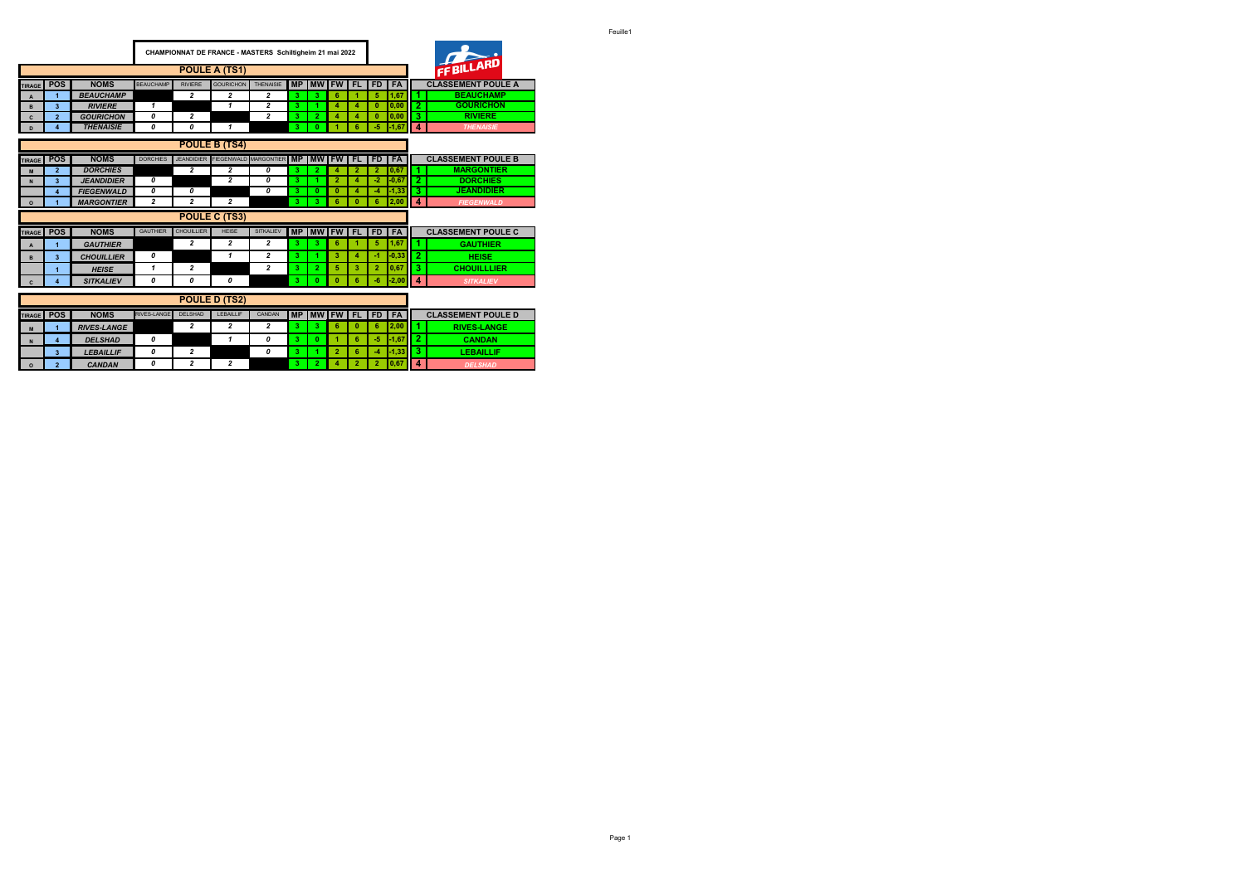|                |                         |                    |                         |                   | CHAMPIONNAT DE FRANCE - MASTERS Schiltigheim 21 mai 2022 |                         |           |                    |                  |                |                |           |                | FFBILLARD                 |
|----------------|-------------------------|--------------------|-------------------------|-------------------|----------------------------------------------------------|-------------------------|-----------|--------------------|------------------|----------------|----------------|-----------|----------------|---------------------------|
|                |                         |                    |                         |                   | POULE A (TS1)                                            |                         |           |                    |                  |                |                |           |                |                           |
| <b>TIRAGE</b>  | POS                     | <b>NOMS</b>        | <b>BEAUCHAMP</b>        | <b>RIVIERE</b>    | <b>GOURICHON</b>                                         | <b>THENAISIE</b>        |           | MP MW FW FL FD FA  |                  |                |                |           |                | <b>CLASSEMENT POULE A</b> |
| $\mathbf{A}$   | 1                       | <b>BEAUCHAMP</b>   |                         | $\overline{2}$    | $\overline{2}$                                           | $\overline{2}$          | 3.        | 3.                 | 6                | 1              | 5              | 1.67      |                | <b>BEAUCHAMP</b>          |
| B              | $\overline{\mathbf{3}}$ | <b>RIVIERE</b>     | 1                       |                   | 1                                                        | 2                       | 3         | 1.                 | 4                | 4              | $\bf{0}$       | 0.00      | $\overline{2}$ | <b>GOURICHON</b>          |
| $\mathbf{C}$   | $\overline{2}$          | <b>GOURICHON</b>   | 0                       | $\overline{2}$    |                                                          | $\overline{a}$          | 3         | $\overline{2}$     | $\boldsymbol{A}$ | 4              | $\mathbf{0}$   | 0.00      | 3              | <b>RIVIERE</b>            |
| D              | 4                       | <b>THENAISIE</b>   | 0                       | 0                 | 1                                                        |                         | 3         | $\mathbf{0}$       |                  | 6              | -5             | $-1,67$   | 4              | <b>THENAISIE</b>          |
|                |                         |                    |                         |                   | <b>POULE B (TS4)</b>                                     |                         |           |                    |                  |                |                |           |                |                           |
| <b>TIRAGE</b>  | <b>POS</b>              | <b>NOMS</b>        | <b>DORCHIES</b>         |                   | JEANDIDIER FIEGENWALD MARGONTIER MP                      |                         |           | <b>IMWIFWIFL</b>   |                  |                | FD I           | <b>FA</b> |                | <b>CLASSEMENT POULE B</b> |
| M              | $\overline{2}$          | <b>DORCHIES</b>    |                         | $\overline{2}$    | $\overline{2}$                                           | 0                       | 3         | $\overline{2}$     | $\boldsymbol{A}$ | $\overline{2}$ | $\overline{2}$ | 0.67      | 1              | <b>MARGONTIER</b>         |
| N              | $\overline{\mathbf{3}}$ | <b>JEANDIDIER</b>  | 0                       |                   | $\overline{2}$                                           | 0                       | 3         | 1.                 | $\overline{2}$   | 4              | -2             | $-0.67$   | $\overline{2}$ | <b>DORCHIES</b>           |
|                | $\overline{\mathbf{4}}$ | <b>FIEGENWALD</b>  | 0                       | 0                 |                                                          | 0                       | 3         | $\mathbf{0}$       | $\mathbf{0}$     | 4              | -4             | $-1,33$   | 3              | <b>JEANDIDIER</b>         |
| $\circ$        | 1                       | <b>MARGONTIER</b>  | $\overline{\mathbf{c}}$ | $\overline{a}$    | $\overline{\mathbf{c}}$                                  |                         | 3         | 3.                 | 6                | $\bf{0}$       | 6              | 2,00      | 4              | <b>FIEGENWALD</b>         |
|                |                         |                    |                         |                   | <b>POULE C (TS3)</b>                                     |                         |           |                    |                  |                |                |           |                |                           |
| <b>TIRAGE</b>  | POS                     | <b>NOMS</b>        | <b>GAUTHIER</b>         | <b>CHOUILLIER</b> | <b>HEISE</b>                                             | <b>SITKALIEV</b>        |           | <b>MP MW FW FL</b> |                  |                | FD I           | <b>FA</b> |                | <b>CLASSEMENT POULE C</b> |
| $\overline{A}$ | 1                       | <b>GAUTHIER</b>    |                         | 2                 | $\overline{2}$                                           | 2                       | 3.        | 3.                 | 6                |                | 5              | 1,67      | 1              | <b>GAUTHIER</b>           |
| B              | $\overline{\mathbf{3}}$ | <b>CHOUILLIER</b>  | 0                       |                   | 1                                                        | 2                       | 3         | 4.                 | 3                | 4              | $\mathcal{A}$  | $-0, 33$  | $\overline{2}$ | <b>HEISE</b>              |
|                | 1                       | <b>HEISE</b>       | 1                       | $\overline{a}$    |                                                          | 2                       | 3.        | 2 <sup>1</sup>     | 5                | 3              | $\overline{2}$ | 0,67      | 3              | <b>CHOUILLLIER</b>        |
| C              | 4                       | <b>SITKALIEV</b>   | 0                       | 0                 | 0                                                        |                         | 3         | $\mathbf{0}$       | Ō                | 6              | -6             | $-2,00$   | 4              | <b>SITKALIEV</b>          |
|                |                         |                    |                         |                   | <b>POULE D (TS2)</b>                                     |                         |           |                    |                  |                |                |           |                |                           |
| <b>TIRAGE</b>  | <b>POS</b>              | <b>NOMS</b>        | <b>RIVES-LANGE</b>      | DELSHAD           | LEBAILLIF                                                | CANDAN                  | <b>MP</b> |                    | <b>MWIFWI</b>    | FL.            | <b>FD</b>      | <b>FA</b> |                | <b>CLASSEMENT POULE D</b> |
| M              |                         | <b>RIVES-LANGE</b> |                         | 2                 | 2                                                        | $\overline{\mathbf{c}}$ | 3         | 3                  | 6                | $\bf{0}$       | 6              | 2,00      | 1              | <b>RIVES-LANGE</b>        |
| N              | $\overline{\mathbf{4}}$ | <b>DELSHAD</b>     | 0                       |                   | 1                                                        | 0                       | 3         | $\mathbf{0}$       | и                | 6              | -5             | $-1.67$   | $\overline{2}$ | <b>CANDAN</b>             |
|                | 3                       | <b>LEBAILLIF</b>   | 0                       | 2                 |                                                          | 0                       | 3         |                    | $\overline{2}$   | 6              | -4             | $-1,33$   | 3              | <b>LEBAILLIF</b>          |

- r

÷

**Contract Contract** 

**<sup>O</sup> 2** *CANDAN 0 2 2* **3 2 4 2 2 0,67 4** *DELSHAD*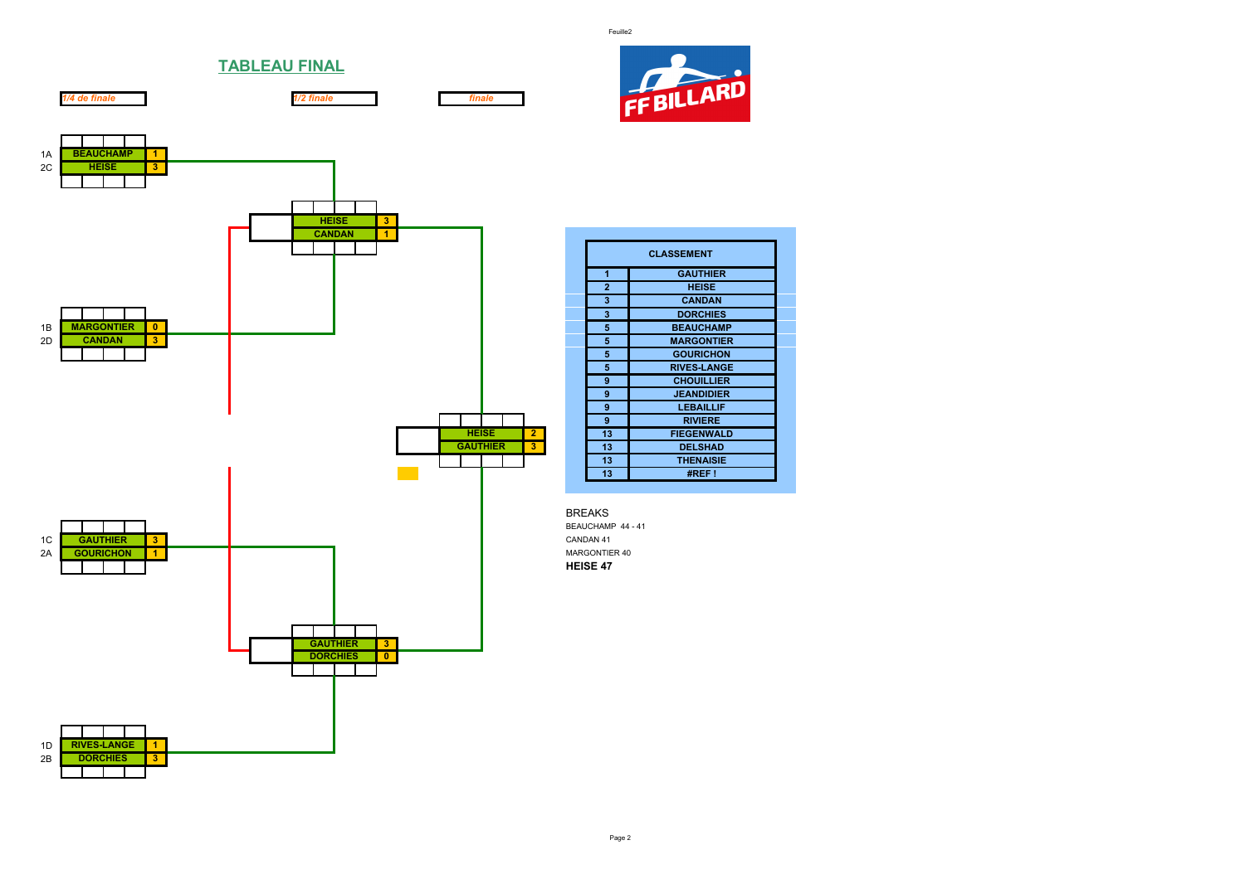Feuille2



**CLASSEMENT 1 GAUTHIER 2 HEISE 3 CANDAN 3 DORCHIES**

 **GOURICHON RIVES-LANGE CHOUILLIER JEANDIDIER LEBAILLIF 9 RIVIERE**

**13 THENAISIE 13 #REF !**



**TABLEAU FINAL**

*1/4 de finale 1/2 finale finale*

Page 2